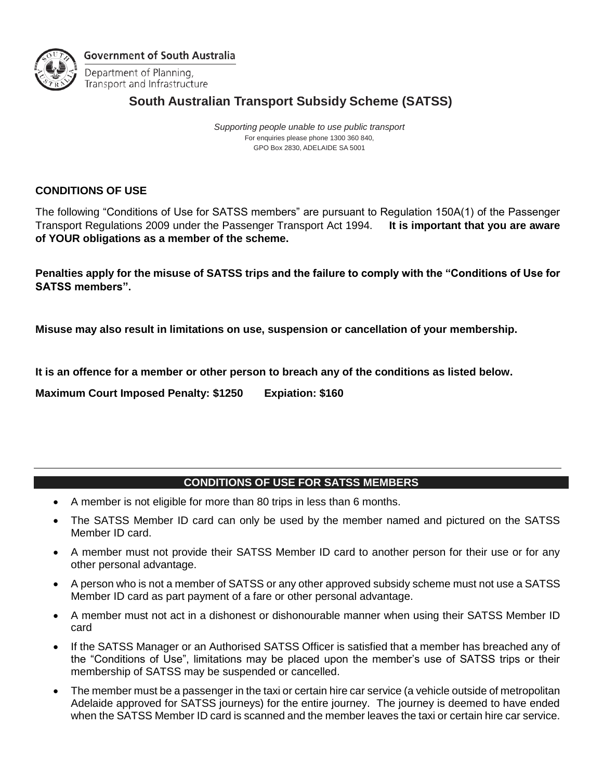

**Government of South Australia** 

Department of Planning, Transport and Infrastructure

## **South Australian Transport Subsidy Scheme (SATSS)**

*Supporting people unable to use public transport* For enquiries please phone 1300 360 840, GPO Box 2830, ADELAIDE SA 5001

## **CONDITIONS OF USE**

The following "Conditions of Use for SATSS members" are pursuant to Regulation 150A(1) of the Passenger Transport Regulations 2009 under the Passenger Transport Act 1994. **It is important that you are aware of YOUR obligations as a member of the scheme.** 

**Penalties apply for the misuse of SATSS trips and the failure to comply with the "Conditions of Use for SATSS members".** 

**Misuse may also result in limitations on use, suspension or cancellation of your membership.** 

**It is an offence for a member or other person to breach any of the conditions as listed below.**

**Maximum Court Imposed Penalty: \$1250 Expiation: \$160**

## **CONDITIONS OF USE FOR SATSS MEMBERS**

- A member is not eligible for more than 80 trips in less than 6 months.
- The SATSS Member ID card can only be used by the member named and pictured on the SATSS Member ID card.
- A member must not provide their SATSS Member ID card to another person for their use or for any other personal advantage.
- A person who is not a member of SATSS or any other approved subsidy scheme must not use a SATSS Member ID card as part payment of a fare or other personal advantage.
- A member must not act in a dishonest or dishonourable manner when using their SATSS Member ID card
- If the SATSS Manager or an Authorised SATSS Officer is satisfied that a member has breached any of the "Conditions of Use", limitations may be placed upon the member's use of SATSS trips or their membership of SATSS may be suspended or cancelled.
- The member must be a passenger in the taxi or certain hire car service (a vehicle outside of metropolitan Adelaide approved for SATSS journeys) for the entire journey. The journey is deemed to have ended when the SATSS Member ID card is scanned and the member leaves the taxi or certain hire car service.